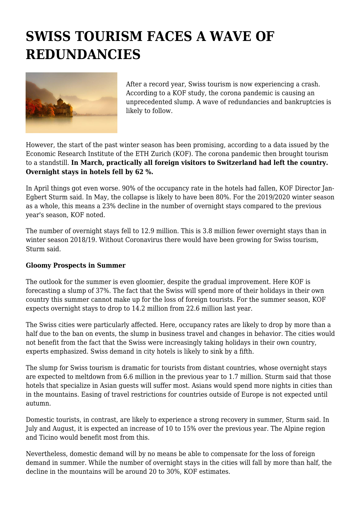## **SWISS TOURISM FACES A WAVE OF REDUNDANCIES**



After a record year, Swiss tourism is now experiencing a crash. According to a KOF study, the corona pandemic is causing an unprecedented slump. A wave of redundancies and bankruptcies is likely to follow.

However, the start of the past winter season has been promising, according to a data issued by the Economic Research Institute of the ETH Zurich (KOF). The corona pandemic then brought tourism to a standstill. **In March, practically all foreign visitors to Switzerland had left the country. Overnight stays in hotels fell by 62 %.**

In April things got even worse. 90% of the occupancy rate in the hotels had fallen, KOF Director Jan-Egbert Sturm said. In May, the collapse is likely to have been 80%. For the 2019/2020 winter season as a whole, this means a 23% decline in the number of overnight stays compared to the previous year's season, KOF noted.

The number of overnight stays fell to 12.9 million. This is 3.8 million fewer overnight stays than in winter season 2018/19. Without Coronavirus there would have been growing for Swiss tourism, Sturm said.

## **Gloomy Prospects in Summer**

The outlook for the summer is even gloomier, despite the gradual improvement. Here KOF is forecasting a slump of 37%. The fact that the Swiss will spend more of their holidays in their own country this summer cannot make up for the loss of foreign tourists. For the summer season, KOF expects overnight stays to drop to 14.2 million from 22.6 million last year.

The Swiss cities were particularly affected. Here, occupancy rates are likely to drop by more than a half due to the ban on events, the slump in business travel and changes in behavior. The cities would not benefit from the fact that the Swiss were increasingly taking holidays in their own country, experts emphasized. Swiss demand in city hotels is likely to sink by a fifth.

The slump for Swiss tourism is dramatic for tourists from distant countries, whose overnight stays are expected to meltdown from 6.6 million in the previous year to 1.7 million. Sturm said that those hotels that specialize in Asian guests will suffer most. Asians would spend more nights in cities than in the mountains. Easing of travel restrictions for countries outside of Europe is not expected until autumn.

Domestic tourists, in contrast, are likely to experience a strong recovery in summer, Sturm said. In July and August, it is expected an increase of 10 to 15% over the previous year. The Alpine region and Ticino would benefit most from this.

Nevertheless, domestic demand will by no means be able to compensate for the loss of foreign demand in summer. While the number of overnight stays in the cities will fall by more than half, the decline in the mountains will be around 20 to 30%, KOF estimates.